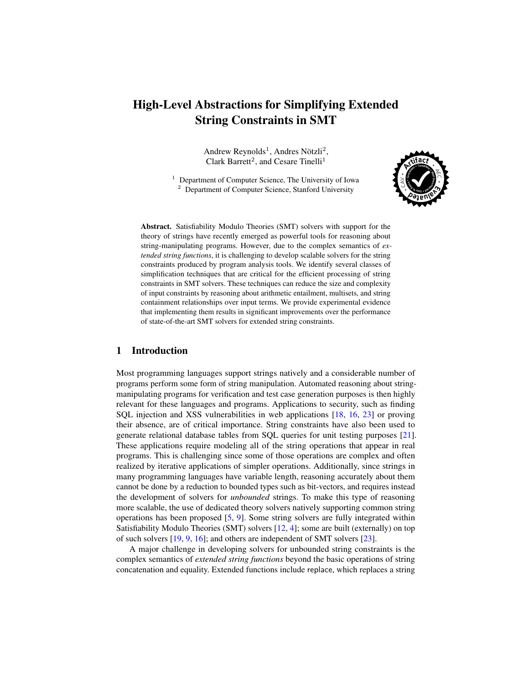# High-Level Abstractions for Simplifying Extended String Constraints in SMT

Andrew Reynolds<sup>1</sup>, Andres Nötzli<sup>2</sup>, Clark Barrett<sup>2</sup>, and Cesare Tinelli<sup>1</sup>

 $1$  Department of Computer Science, The University of Iowa <sup>2</sup> Department of Computer Science, Stanford University



Abstract. Satisfiability Modulo Theories (SMT) solvers with support for the theory of strings have recently emerged as powerful tools for reasoning about string-manipulating programs. However, due to the complex semantics of *extended string functions*, it is challenging to develop scalable solvers for the string constraints produced by program analysis tools. We identify several classes of simplification techniques that are critical for the efficient processing of string constraints in SMT solvers. These techniques can reduce the size and complexity of input constraints by reasoning about arithmetic entailment, multisets, and string containment relationships over input terms. We provide experimental evidence that implementing them results in significant improvements over the performance of state-of-the-art SMT solvers for extended string constraints.

# 1 Introduction

Most programming languages support strings natively and a considerable number of programs perform some form of string manipulation. Automated reasoning about stringmanipulating programs for verification and test case generation purposes is then highly relevant for these languages and programs. Applications to security, such as finding SQL injection and XSS vulnerabilities in web applications [\[18,](#page-17-0) [16,](#page-17-1) [23\]](#page-17-2) or proving their absence, are of critical importance. String constraints have also been used to generate relational database tables from SQL queries for unit testing purposes [\[21\]](#page-17-3). These applications require modeling all of the string operations that appear in real programs. This is challenging since some of those operations are complex and often realized by iterative applications of simpler operations. Additionally, since strings in many programming languages have variable length, reasoning accurately about them cannot be done by a reduction to bounded types such as bit-vectors, and requires instead the development of solvers for *unbounded* strings. To make this type of reasoning more scalable, the use of dedicated theory solvers natively supporting common string operations has been proposed [\[5,](#page-16-0) [9\]](#page-16-1). Some string solvers are fully integrated within Satisfiability Modulo Theories (SMT) solvers [\[12,](#page-17-4) [4\]](#page-16-2); some are built (externally) on top of such solvers [\[19,](#page-17-5) [9,](#page-16-1) [16\]](#page-17-1); and others are independent of SMT solvers [\[23\]](#page-17-2).

A major challenge in developing solvers for unbounded string constraints is the complex semantics of *extended string functions* beyond the basic operations of string concatenation and equality. Extended functions include replace, which replaces a string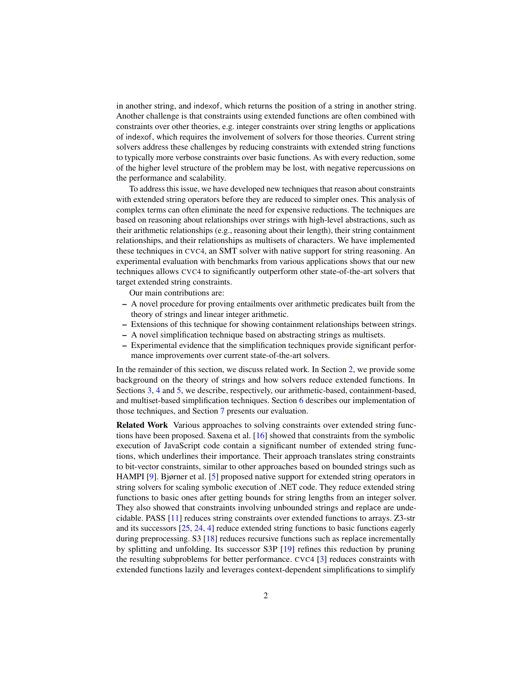in another string, and indexof, which returns the position of a string in another string. Another challenge is that constraints using extended functions are often combined with constraints over other theories, e.g. integer constraints over string lengths or applications of indexof, which requires the involvement of solvers for those theories. Current string solvers address these challenges by reducing constraints with extended string functions to typically more verbose constraints over basic functions. As with every reduction, some of the higher level structure of the problem may be lost, with negative repercussions on the performance and scalability.

To address this issue, we have developed new techniques that reason about constraints with extended string operators before they are reduced to simpler ones. This analysis of complex terms can often eliminate the need for expensive reductions. The techniques are based on reasoning about relationships over strings with high-level abstractions, such as their arithmetic relationships (e.g., reasoning about their length), their string containment relationships, and their relationships as multisets of characters. We have implemented these techniques in CVC4, an SMT solver with native support for string reasoning. An experimental evaluation with benchmarks from various applications shows that our new techniques allows CVC4 to significantly outperform other state-of-the-art solvers that target extended string constraints.

Our main contributions are:

- A novel procedure for proving entailments over arithmetic predicates built from the theory of strings and linear integer arithmetic.
- Extensions of this technique for showing containment relationships between strings.
- A novel simplification technique based on abstracting strings as multisets.
- Experimental evidence that the simplification techniques provide significant performance improvements over current state-of-the-art solvers.

In the remainder of this section, we discuss related work. In Section [2,](#page-2-0) we provide some background on the theory of strings and how solvers reduce extended functions. In Sections [3,](#page-4-0) [4](#page-8-0) and [5,](#page-11-0) we describe, respectively, our arithmetic-based, containment-based, and multiset-based simplification techniques. Section [6](#page-12-0) describes our implementation of those techniques, and Section [7](#page-13-0) presents our evaluation.

Related Work Various approaches to solving constraints over extended string functions have been proposed. Saxena et al.  $[16]$  showed that constraints from the symbolic execution of JavaScript code contain a significant number of extended string functions, which underlines their importance. Their approach translates string constraints to bit-vector constraints, similar to other approaches based on bounded strings such as HAMPI [\[9\]](#page-16-1). Bjørner et al. [\[5\]](#page-16-0) proposed native support for extended string operators in string solvers for scaling symbolic execution of .NET code. They reduce extended string functions to basic ones after getting bounds for string lengths from an integer solver. They also showed that constraints involving unbounded strings and replace are undecidable. PASS [\[11\]](#page-16-3) reduces string constraints over extended functions to arrays. Z3-str and its successors [\[25,](#page-17-6) [24,](#page-17-7) [4\]](#page-16-2) reduce extended string functions to basic functions eagerly during preprocessing. S3 [\[18\]](#page-17-0) reduces recursive functions such as replace incrementally by splitting and unfolding. Its successor S3P [\[19\]](#page-17-5) refines this reduction by pruning the resulting subproblems for better performance. CVC4 [\[3\]](#page-16-4) reduces constraints with extended functions lazily and leverages context-dependent simplifications to simplify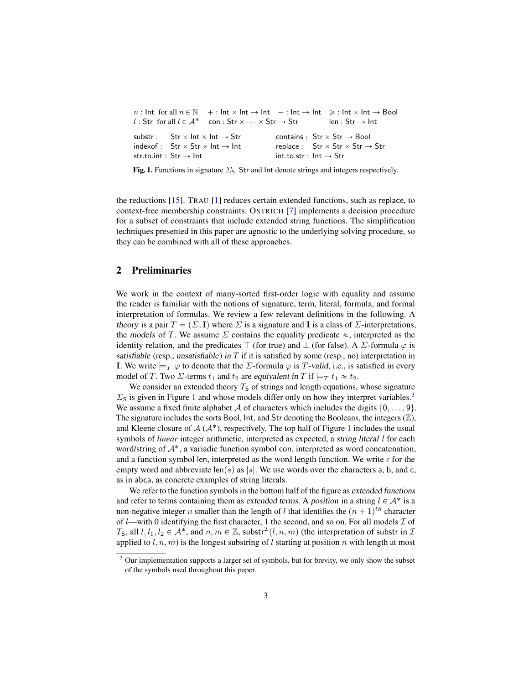```
n : \text{Int} for all n \in \mathbb{N} + : \text{Int} \times \text{Int} \rightarrow \text{Int} - : \text{Int} \rightarrow \text{Int} \geq : \text{Int} \times \text{Int} \rightarrow \text{Bool}l: Str for all l \in A^* con : Str \times \cdots \times Str \rightarrow Str \cdots len : Str \rightarrow Int
substr : \text{Str} \times \text{Int} \times \text{Int} \rightarrow \text{Str} contains : \text{Str} \times \text{Str} \rightarrow \text{Bool}index of: \quad Str \times Str \times Int \rightarrow Int
relace: \quad Str \times Str \rightarrow Str<br>str.to.int : Str \rightarrow Int
int. 5tr \rightarrow Strint.to.str : Int \rightarrow Str
```
<span id="page-2-1"></span>Fig. 1. Functions in signature  $\Sigma$ <sub>S</sub>. Str and Int denote strings and integers respectively.

the reductions  $[15]$ . TRAU  $[1]$  reduces certain extended functions, such as replace, to context-free membership constraints. OSTRICH [\[7\]](#page-16-6) implements a decision procedure for a subset of constraints that include extended string functions. The simplification techniques presented in this paper are agnostic to the underlying solving procedure, so they can be combined with all of these approaches.

## <span id="page-2-0"></span>2 Preliminaries

We work in the context of many-sorted first-order logic with equality and assume the reader is familiar with the notions of signature, term, literal, formula, and formal interpretation of formulas. We review a few relevant definitions in the following. A theory is a pair  $T = (\Sigma, I)$  where  $\Sigma$  is a signature and I is a class of  $\Sigma$ -interpretations, the models of T. We assume  $\Sigma$  contains the equality predicate  $\approx$ , interpreted as the identity relation, and the predicates  $\top$  (for true) and  $\bot$  (for false). A  $\Sigma$ -formula  $\varphi$  is satisfiable (resp., unsatisfiable) in  $T$  if it is satisfied by some (resp., no) interpretation in I. We write  $\models_T \varphi$  to denote that the  $\Sigma$ -formula  $\varphi$  is T-valid, i.e., is satisfied in every model of T. Two  $\Sigma$ -terms  $t_1$  and  $t_2$  are equivalent in T if  $\models_T t_1 \approx t_2$ .

We consider an extended theory  $T<sub>S</sub>$  of strings and length equations, whose signature  $\Sigma$ <sub>S</sub> is given in Figure [1](#page-2-1) and whose models differ only on how they interpret variables.<sup>[3](#page-2-2)</sup> We assume a fixed finite alphabet A of characters which includes the digits  $\{0, \ldots, 9\}$ . The signature includes the sorts Bool, Int, and Str denoting the Booleans, the integers  $(\mathbb{Z})$ , and Kleene closure of  $A(A^*)$ , respectively. The top half of Figure [1](#page-2-1) includes the usual symbols of *linear* integer arithmetic, interpreted as expected, a string literal l for each word/string of  $A^*$ , a variadic function symbol con, interpreted as word concatenation, and a function symbol len, interpreted as the word length function. We write  $\epsilon$  for the empty word and abbreviate len(s) as |s|. We use words over the characters a, b, and c, as in abca, as concrete examples of string literals.

We refer to the function symbols in the bottom half of the figure as extended functions and refer to terms containing them as extended terms. A position in a string  $l \in A^*$  is a non-negative integer n smaller than the length of l that identifies the  $(n + 1)$ <sup>th</sup> character of *l*—with 0 identifying the first character, 1 the second, and so on. For all models  $\mathcal I$  of  $T_5$ , all  $l, l_1, l_2 \in \mathcal{A}^*$ , and  $n, m \in \mathbb{Z}$ , substr $\mathcal{I}(l, n, m)$  (the interpretation of substr in  $\mathcal{I}$ applied to  $l, n, m$ ) is the longest substring of  $l$  starting at position n with length at most

<span id="page-2-2"></span><sup>&</sup>lt;sup>3</sup> Our implementation supports a larger set of symbols, but for brevity, we only show the subset of the symbols used throughout this paper.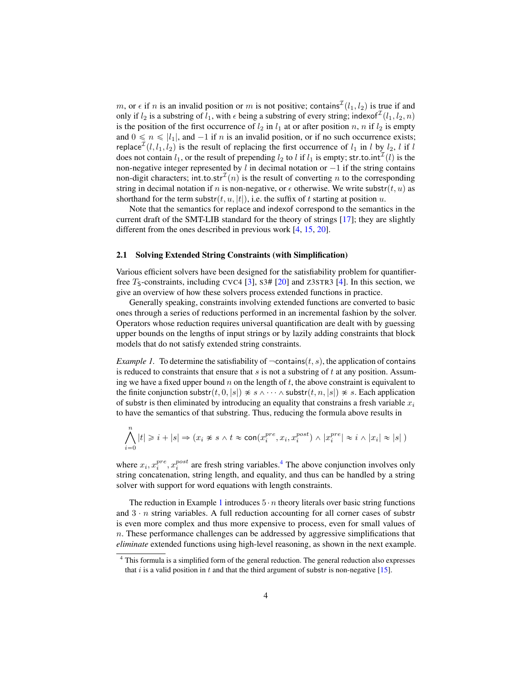m, or  $\epsilon$  if n is an invalid position or m is not positive; contains  $\mathcal{I}(l_1, l_2)$  is true if and only if  $l_2$  is a substring of  $l_1$ , with  $\epsilon$  being a substring of every string; indexof  $\mathcal{I}(l_1, l_2, n)$ is the position of the first occurrence of  $l_2$  in  $l_1$  at or after position n, n if  $l_2$  is empty and  $0 \le n \le |l_1|$ , and  $-1$  if n is an invalid position, or if no such occurrence exists; replace  $\mathcal{I}(l, l_1, l_2)$  is the result of replacing the first occurrence of  $l_1$  in l by  $l_2$ , l if l does not contain  $l_1$ , or the result of prepending  $l_2$  to l if  $l_1$  is empty; str.to.int<sup> $\mathcal{I}(l)$ </sup> is the non-negative integer represented by l in decimal notation or  $-1$  if the string contains non-digit characters; int.to.str<sup> $\mathcal{I}(n)$ </sup> is the result of converting n to the corresponding string in decimal notation if n is non-negative, or  $\epsilon$  otherwise. We write substr $(t, u)$  as shorthand for the term substr $(t, u, |t|)$ , i.e. the suffix of t starting at position u.

Note that the semantics for replace and indexof correspond to the semantics in the current draft of the SMT-LIB standard for the theory of strings [\[17\]](#page-17-9); they are slightly different from the ones described in previous work [\[4,](#page-16-2) [15,](#page-17-8) [20\]](#page-17-10).

#### <span id="page-3-2"></span>2.1 Solving Extended String Constraints (with Simplification)

Various efficient solvers have been designed for the satisfiability problem for quantifierfree  $T<sub>5</sub>$ -constraints, including CVC4 [\[3\]](#page-16-4), S<sub>3</sub># [\[20\]](#page-17-10) and z<sub>3</sub>STR<sub>3</sub> [\[4\]](#page-16-2). In this section, we give an overview of how these solvers process extended functions in practice.

Generally speaking, constraints involving extended functions are converted to basic ones through a series of reductions performed in an incremental fashion by the solver. Operators whose reduction requires universal quantification are dealt with by guessing upper bounds on the lengths of input strings or by lazily adding constraints that block models that do not satisfy extended string constraints.

<span id="page-3-1"></span>*Example 1.* To determine the satisfiability of  $-\text{contains}(t, s)$ , the application of contains is reduced to constraints that ensure that  $s$  is not a substring of  $t$  at any position. Assuming we have a fixed upper bound  $n$  on the length of  $t$ , the above constraint is equivalent to the finite conjunction substr $(t, 0, |s|) \not\approx s \wedge \cdots \wedge$  substr $(t, n, |s|) \not\approx s$ . Each application of substr is then eliminated by introducing an equality that constrains a fresh variable  $x_i$ to have the semantics of that substring. Thus, reducing the formula above results in

$$
\bigwedge_{i=0}^{n}|t| \geq i+|s| \Rightarrow (x_i \not\approx s \land t \approx \text{con}(x_i^{pre}, x_i, x_i^{post}) \land |x_i^{pre}| \approx i \land |x_i| \approx |s|)
$$

where  $x_i, x_i^{pre}, x_i^{post}$  are fresh string variables.<sup>[4](#page-3-0)</sup> The above conjunction involves only string concatenation, string length, and equality, and thus can be handled by a string solver with support for word equations with length constraints.

The reduction in Example [1](#page-3-1) introduces  $5 \cdot n$  theory literals over basic string functions and  $3 \cdot n$  string variables. A full reduction accounting for all corner cases of substr is even more complex and thus more expensive to process, even for small values of n. These performance challenges can be addressed by aggressive simplifications that *eliminate* extended functions using high-level reasoning, as shown in the next example.

<span id="page-3-0"></span><sup>&</sup>lt;sup>4</sup> This formula is a simplified form of the general reduction. The general reduction also expresses that i is a valid position in t and that the third argument of substr is non-negative  $[15]$ .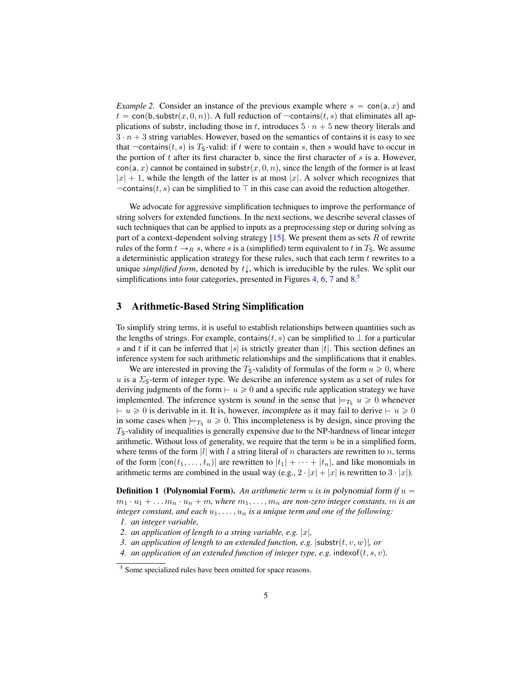*Example 2.* Consider an instance of the previous example where  $s = \text{con}(a, x)$  and  $t = \text{con}(b, \text{subtract}(x, 0, n))$ . A full reduction of  $\neg$ contains $(t, s)$  that eliminates all applications of substr, including those in t, introduces  $5 \cdot n + 5$  new theory literals and  $3 \cdot n + 3$  string variables. However, based on the semantics of contains it is easy to see that  $\neg$ contains $(t, s)$  is T<sub>S</sub>-valid: if t were to contain s, then s would have to occur in the portion of t after its first character b, since the first character of s is a. However, con(a, x) cannot be contained in substr $(x, 0, n)$ , since the length of the former is at least  $|x| + 1$ , while the length of the latter is at most |x|. A solver which recognizes that  $\neg$ contains(t, s) can be simplified to  $\top$  in this case can avoid the reduction altogether.

We advocate for aggressive simplification techniques to improve the performance of string solvers for extended functions. In the next sections, we describe several classes of such techniques that can be applied to inputs as a preprocessing step or during solving as part of a context-dependent solving strategy  $[15]$ . We present them as sets R of rewrite rules of the form  $t \to_R s$ , where s is a (simplified) term equivalent to t in  $T<sub>S</sub>$ . We assume a deterministic application strategy for these rules, such that each term  $t$  rewrites to a unique *simplified form*, denoted by  $t\downarrow$ , which is irreducible by the rules. We split our simplifications into four categories, presented in Figures [4,](#page-8-1) [6,](#page-10-0) [7](#page-11-1) and  $8<sup>5</sup>$  $8<sup>5</sup>$  $8<sup>5</sup>$ 

# <span id="page-4-0"></span>3 Arithmetic-Based String Simplification

To simplify string terms, it is useful to establish relationships between quantities such as the lengths of strings. For example, contains(*t, s*) can be simplified to  $\perp$  for a particular s and t if it can be inferred that |s| is strictly greater than |t|. This section defines an inference system for such arithmetic relationships and the simplifications that it enables.

We are interested in proving the  $T_s$ -validity of formulas of the form  $u \ge 0$ , where u is a  $\Sigma$ <sub>S</sub>-term of integer type. We describe an inference system as a set of rules for deriving judgments of the form  $\vdash u \geq 0$  and a specific rule application strategy we have implemented. The inference system is sound in the sense that  $|z_T s u \geq 0$  whenever  $u \geq 0$  is derivable in it. It is, however, incomplete as it may fail to derive  $u \geq 0$ in some cases when  $\models_{T_s} u \ge 0$ . This incompleteness is by design, since proving the  $T<sub>S</sub>$ -validity of inequalities is generally expensive due to the NP-hardness of linear integer arithmetic. Without loss of generality, we require that the term  $u$  be in a simplified form, where terms of the form |l| with l a string literal of n characters are rewritten to n, terms of the form  $|con(t_1, \ldots, t_n)|$  are rewritten to  $|t_1| + \cdots + |t_n|$ , and like monomials in arithmetic terms are combined in the usual way (e.g.,  $2 \cdot |x| + |x|$  is rewritten to  $3 \cdot |x|$ ).

<span id="page-4-2"></span>**Definition 1** (Polynomial Form). An arithmetic term u is in polynomial form if  $u =$  $m_1 \cdot u_1 + \ldots + m_n \cdot u_n + m$ , where  $m_1, \ldots, m_n$  are non-zero integer constants, m is an *integer constant, and each*  $u_1, \ldots, u_n$  *is a unique term and one of the following:* 

- *1. an integer variable,*
- *2. an application of length to a string variable, e.g.*  $|x|$ *,*
- *3. an application of length to an extended function, e.g.*  $|\text{substr}(t, v, w)|$ , *or*
- *4. an application of an extended function of integer type, e.g.* indexof $(t, s, v)$ *.*

<span id="page-4-1"></span><sup>&</sup>lt;sup>5</sup> Some specialized rules have been omitted for space reasons.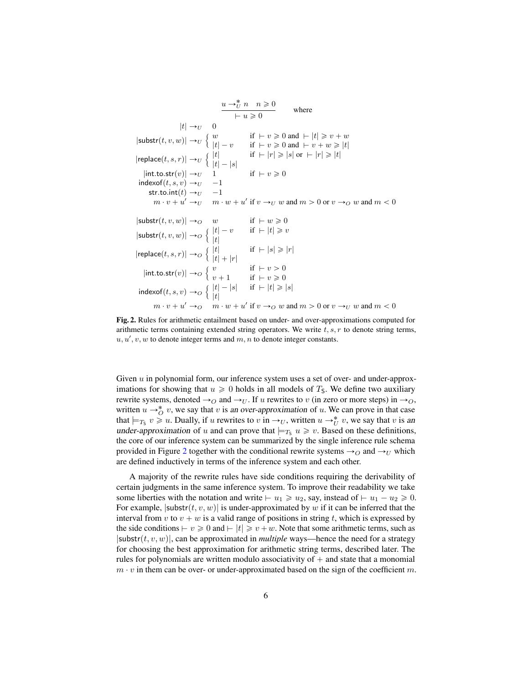$$
\frac{u \rightarrow v \quad n \quad n \ge 0}{u \ge 0} \qquad \text{where}
$$
\n
$$
|t| \rightarrow v \quad 0
$$
\n
$$
|\text{substr}(t, v, w)| \rightarrow v \left\{ \begin{array}{ll} w & \text{if } |v \ge 0 \text{ and } |v| \ge v+w \\ |t| - v & \text{if } |v \ge 0 \text{ and } |v+w \ge |t| \end{array} \right.
$$
\n
$$
|\text{replace}(t, s, r)| \rightarrow v \left\{ \begin{array}{ll} |t| & \text{if } |r| \ge |s| \text{ or } |r| \ge |t| \\ |t| - |s| & \text{if } |v \ge 0 \end{array} \right.
$$
\n
$$
|\text{int.to.st}(v)| \rightarrow v \quad 1 \qquad \text{if } |v \ge 0
$$
\n
$$
|\text{indexof}(t, s, v) \rightarrow v \quad -1
$$
\n
$$
|\text{st.to.int}(t) \rightarrow v \quad -1
$$
\n
$$
m \cdot v + u' \rightarrow v \quad m \cdot w + u' \text{ if } v \rightarrow v w \text{ and } m > 0 \text{ or } v \rightarrow o w \text{ and } m < 0
$$
\n
$$
|\text{substr}(t, v, w)| \rightarrow o \quad w \qquad \text{if } |w \ge 0
$$
\n
$$
|\text{substr}(t, v, w)| \rightarrow o \left\{ \begin{array}{ll} |t| - v & \text{if } |t| \ge v \\ |t| & \text{if } |s| \ge |r| \end{array} \right.
$$
\n
$$
|\text{replace}(t, s, r)| \rightarrow o \left\{ \begin{array}{ll} |t| & \text{if } |v > 0 \\ |t| + |r| & \text{if } |v > 0 \\ v + 1 & \text{if } |v \ge 0 \end{array} \right.
$$
\n
$$
|\text{indexof}(t, s, v) \rightarrow o \left\{ \begin{array}{ll} |t| - |s| & \text{if } |t| \ge |s| \\ |t| & \text{if } |t| > 0 \end{array} \right.
$$

<span id="page-5-0"></span>Fig. 2. Rules for arithmetic entailment based on under- and over-approximations computed for arithmetic terms containing extended string operators. We write  $t, s, r$  to denote string terms,  $u, u', v, w$  to denote integer terms and  $m, n$  to denote integer constants.

Given  $u$  in polynomial form, our inference system uses a set of over- and under-approximations for showing that  $u \geq 0$  holds in all models of  $T<sub>S</sub>$ . We define two auxiliary rewrite systems, denoted  $\rightarrow O$  and  $\rightarrow U$ . If u rewrites to v (in zero or more steps) in  $\rightarrow O$ , written  $u \rightarrow_{O}^{*} v$ , we say that v is an over-approximation of u. We can prove in that case that  $\models_{T_S} v \geq u$ . Dually, if u rewrites to v in  $\rightarrow_U$ , written  $u \rightarrow_U^* v$ , we say that v is an under-approximation of u and can prove that  $\models_{T_s} u \geq v$ . Based on these definitions, the core of our inference system can be summarized by the single inference rule schema provided in Figure [2](#page-5-0) together with the conditional rewrite systems  $\rightarrow_O$  and  $\rightarrow_U$  which are defined inductively in terms of the inference system and each other.

A majority of the rewrite rules have side conditions requiring the derivability of certain judgments in the same inference system. To improve their readability we take some liberties with the notation and write  $\vdash u_1 \geq u_2$ , say, instead of  $\vdash u_1 - u_2 \geq 0$ . For example,  $|\text{substr}(t, v, w)|$  is under-approximated by w if it can be inferred that the interval from v to  $v + w$  is a valid range of positions in string t, which is expressed by the side conditions  $v \geq 0$  and  $v \mid t| \geq v + w$ . Note that some arithmetic terms, such as  $|\text{subtract}(t, v, w)|$ , can be approximated in *multiple* ways—hence the need for a strategy for choosing the best approximation for arithmetic string terms, described later. The rules for polynomials are written modulo associativity of  $+$  and state that a monomial  $m \cdot v$  in them can be over- or under-approximated based on the sign of the coefficient m.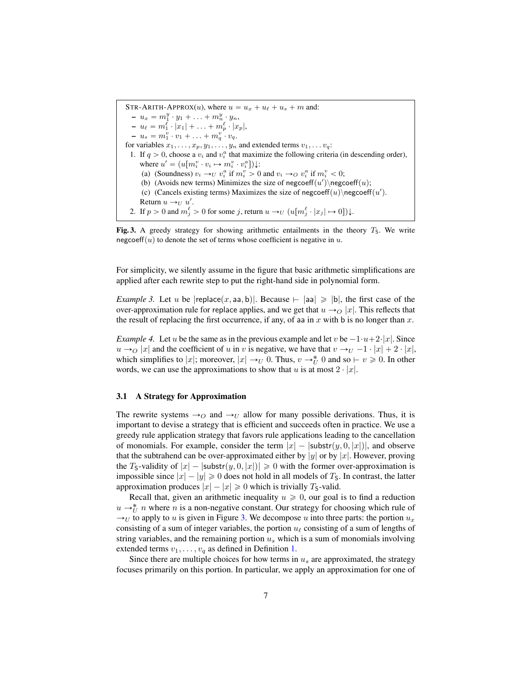STR-ARITH-APPROX(u), where  $u = u_x + u_\ell + u_s + m$  and:  $-u_x = m_1^y \cdot y_1 + \ldots + m_n^y \cdot y_n,$  $- u_{\ell} = m_1^{\ell} \cdot |x_1| + \ldots + m_p^{\ell} \cdot |x_p|,$  $- u_s = m_1^v \cdot v_1 + \ldots + m_q^v \cdot v_q.$ for variables  $x_1, \ldots, x_p, y_1, \ldots, y_n$  and extended terms  $v_1, \ldots, v_q$ : 1. If  $q > 0$ , choose a  $v_i$  and  $v_i^a$  that maximize the following criteria (in descending order), where  $u' = (u[m_i^v \cdot v_i \mapsto m_i^v \cdot v_i^a])$   $\downarrow$ : (a) (Soundness)  $v_i \rightarrow_U v_i^a$  if  $m_i^v > 0$  and  $v_i \rightarrow_O v_i^a$  if  $m_i^v < 0$ ; (b) (Avoids new terms) Minimizes the size of negcoeff $(u')\neq(u)$ ; (c) (Cancels existing terms) Maximizes the size of negcoeff $(u)$  negcoeff $(u')$ . Return  $u \rightarrow_U u'$ . 2. If  $p > 0$  and  $m_j^{\ell} > 0$  for some j, return  $u \to_U (u[m_j^{\ell} \cdot |x_j] \mapsto 0]) \downarrow$ .

<span id="page-6-0"></span>Fig. 3. A greedy strategy for showing arithmetic entailments in the theory  $T<sub>S</sub>$ . We write negcoeff $(u)$  to denote the set of terms whose coefficient is negative in u.

For simplicity, we silently assume in the figure that basic arithmetic simplifications are applied after each rewrite step to put the right-hand side in polynomial form.

*Example 3.* Let u be  $|$ replace $(x, aa, b)|$ . Because  $\vdash$   $|aa| \geq |b|$ , the first case of the over-approximation rule for replace applies, and we get that  $u \rightarrow O |x|$ . This reflects that the result of replacing the first occurrence, if any, of aa in x with b is no longer than x.

*Example 4.* Let u be the same as in the previous example and let v be  $-1 \cdot u + 2 \cdot |x|$ . Since  $u \rightarrow o |x|$  and the coefficient of u in v is negative, we have that  $v \rightarrow U -1$   $|x| + 2 \cdot |x|$ , which simplifies to |x|; moreover,  $|x| \rightarrow_U 0$ . Thus,  $v \rightarrow_U^* 0$  and so  $\vdash v \ge 0$ . In other words, we can use the approximations to show that u is at most  $2 \cdot |x|$ .

#### 3.1 A Strategy for Approximation

The rewrite systems  $\rightarrow$  and  $\rightarrow$  allow for many possible derivations. Thus, it is important to devise a strategy that is efficient and succeeds often in practice. We use a greedy rule application strategy that favors rule applications leading to the cancellation of monomials. For example, consider the term  $|x|$  –  $|$ substr $(y, 0, |x|)|$ , and observe that the subtrahend can be over-approximated either by |y| or by |x|. However, proving the T<sub>S</sub>-validity of  $|x|$  –  $|\textsf{substr}(y, 0, |x|)| \ge 0$  with the former over-approximation is impossible since  $|x| - |y| \ge 0$  does not hold in all models of  $T_5$ . In contrast, the latter approximation produces  $|x| - |x| \ge 0$  which is trivially  $T_s$ -valid.

Recall that, given an arithmetic inequality  $u \ge 0$ , our goal is to find a reduction  $u \rightarrow_U^* n$  where *n* is a non-negative constant. Our strategy for choosing which rule of  $\rightarrow_U$  to apply to u is given in Figure [3.](#page-6-0) We decompose u into three parts: the portion  $u_x$ consisting of a sum of integer variables, the portion  $u_\ell$  consisting of a sum of lengths of string variables, and the remaining portion  $u<sub>s</sub>$  which is a sum of monomials involving extended terms  $v_1, \ldots, v_q$  as defined in Definition [1.](#page-4-2)

Since there are multiple choices for how terms in  $u_s$  are approximated, the strategy focuses primarily on this portion. In particular, we apply an approximation for one of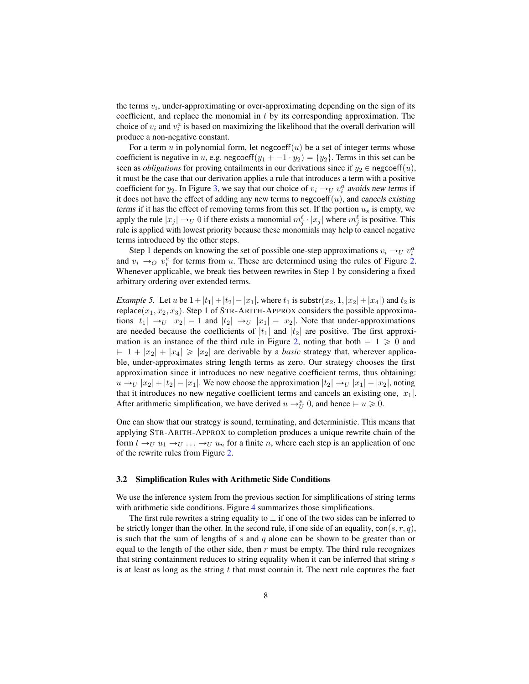the terms  $v_i$ , under-approximating or over-approximating depending on the sign of its coefficient, and replace the monomial in  $t$  by its corresponding approximation. The choice of  $v_i$  and  $v_i^a$  is based on maximizing the likelihood that the overall derivation will produce a non-negative constant.

For a term u in polynomial form, let negcoeff $(u)$  be a set of integer terms whose coefficient is negative in u, e.g. negcoeff $(y_1 + -1 \cdot y_2) = \{y_2\}$ . Terms in this set can be seen as *obligations* for proving entailments in our derivations since if  $y_2 \in \text{negcoeff}(u)$ , it must be the case that our derivation applies a rule that introduces a term with a positive coefficient for  $y_2$ . In Figure [3,](#page-6-0) we say that our choice of  $v_i \rightarrow_U v_i^a$  avoids new terms if it does not have the effect of adding any new terms to negcoeff $(u)$ , and cancels existing terms if it has the effect of removing terms from this set. If the portion  $u_s$  is empty, we apply the rule  $|x_j| \to_U 0$  if there exists a monomial  $m_j^{\ell} \cdot |x_j|$  where  $m_j^{\ell}$  is positive. This rule is applied with lowest priority because these monomials may help to cancel negative terms introduced by the other steps.

Step 1 depends on knowing the set of possible one-step approximations  $v_i \rightarrow_U v_i^a$ and  $v_i \rightarrow O v_i^a$  for terms from u. These are determined using the rules of Figure [2.](#page-5-0) Whenever applicable, we break ties between rewrites in Step 1 by considering a fixed arbitrary ordering over extended terms.

*Example 5.* Let u be  $1+|t_1|+|t_2|-|x_1|$ , where  $t_1$  is substr $(x_2, 1, |x_2|+|x_4|)$  and  $t_2$  is replace $(x_1, x_2, x_3)$ . Step 1 of STR-ARITH-APPROX considers the possible approximations  $|t_1| \rightarrow_U |x_2| - 1$  and  $|t_2| \rightarrow_U |x_1| - |x_2|$ . Note that under-approximations are needed because the coefficients of  $|t_1|$  and  $|t_2|$  are positive. The first approxi-mation is an instance of the third rule in Figure [2,](#page-5-0) noting that both  $+ 1 \ge 0$  and  $+ 1 + |x_2| + |x_4| \ge |x_2|$  are derivable by a *basic* strategy that, wherever applicable, under-approximates string length terms as zero. Our strategy chooses the first approximation since it introduces no new negative coefficient terms, thus obtaining:  $u \rightarrow_U |x_2| + |t_2| - |x_1|$ . We now choose the approximation  $|t_2| \rightarrow_U |x_1| - |x_2|$ , noting that it introduces no new negative coefficient terms and cancels an existing one,  $|x_1|$ . After arithmetic simplification, we have derived  $u \rightarrow^*_{U} 0$ , and hence  $\vdash u \ge 0$ .

One can show that our strategy is sound, terminating, and deterministic. This means that applying STR-ARITH-APPROX to completion produces a unique rewrite chain of the form  $t \to_U u_1 \to_U \ldots \to_U u_n$  for a finite n, where each step is an application of one of the rewrite rules from Figure [2.](#page-5-0)

#### 3.2 Simplification Rules with Arithmetic Side Conditions

We use the inference system from the previous section for simplifications of string terms with arithmetic side conditions. Figure [4](#page-8-1) summarizes those simplifications.

The first rule rewrites a string equality to  $\perp$  if one of the two sides can be inferred to be strictly longer than the other. In the second rule, if one side of an equality,  $con(s, r, q)$ , is such that the sum of lengths of  $s$  and  $q$  alone can be shown to be greater than or equal to the length of the other side, then  $r$  must be empty. The third rule recognizes that string containment reduces to string equality when it can be inferred that string  $s$ is at least as long as the string  $t$  that must contain it. The next rule captures the fact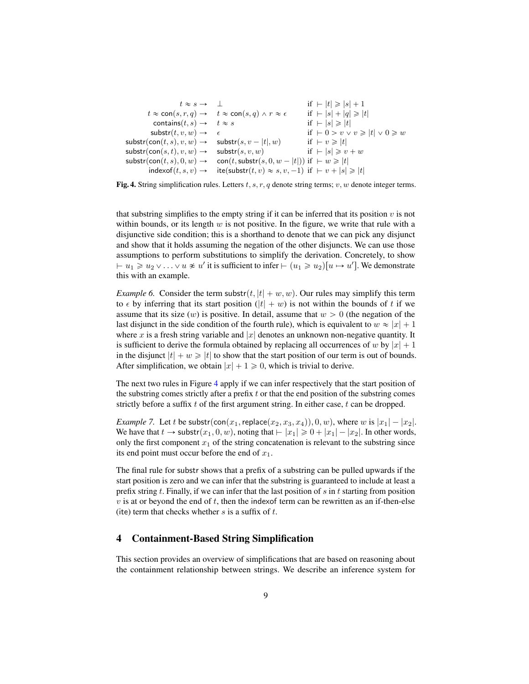```
t \approx s \rightarrow \perp<br>
t \approx t \approx \text{con}(s, q) \land r \approx \epsilon<br>
\text{if } |t| \geqslant |s| + 1<br>
\text{if } |s| + |q| \geqslant |t|t \approx \text{con}(s, r, q) \rightarrow t \approx \text{con}(s, q) \land r \approx \epsilon\begin{array}{lllll} \mbox{contains}(t,s) \rightarrow & t \approx s & \mbox{if} \; \vdash |s| \geqslant |t| \\ \mbox{substr}(t,v,w) \rightarrow & \epsilon & \mbox{if} \; \vdash 0 > v \; \lor \end{array}if \begin{align*}\n 0 > v \vee v \geq |t| \vee 0 \geq w \\
 \text{if } \vdash v \geq |t| \\
 \text{if } \vdash |s| > v + w\n \end{align*}\mathsf{subst}(\mathsf{con}(t, s), v, w) \to \mathsf{   substr}(s, v - |t|, w)\textsf{subst}(\textsf{con}(s, t), v, w) \rightarrow \textsf{substr}(s, v, w) if \vdash |s| \geqslant v + w\textsf{subst}(\textsf{con}(t, s), 0, w) \rightarrow \textsf{con}(t, \textsf{subtract}(s, 0, w - |t|)) \text{ if } \vdash w \geq |t|indexof(t, s, v) \rightarrow ite(substr(t, v) \approx s, v, -1) if \vdash v + |s| \geq |t|
```
<span id="page-8-1"></span>Fig. 4. String simplification rules. Letters  $t, s, r, q$  denote string terms;  $v, w$  denote integer terms.

that substring simplifies to the empty string if it can be inferred that its position  $v$  is not within bounds, or its length  $w$  is not positive. In the figure, we write that rule with a disjunctive side condition; this is a shorthand to denote that we can pick any disjunct and show that it holds assuming the negation of the other disjuncts. We can use those assumptions to perform substitutions to simplify the derivation. Concretely, to show  $u_1 \geq u_2 \vee \ldots \vee u \not\approx u'$  it is sufficient to infer  $\vdash (u_1 \geq u_2)[u \mapsto u']$ . We demonstrate this with an example.

*Example 6.* Consider the term substr $(t, |t| + w, w)$ . Our rules may simplify this term to  $\epsilon$  by inferring that its start position (|t| + w) is not within the bounds of t if we assume that its size  $(w)$  is positive. In detail, assume that  $w > 0$  (the negation of the last disjunct in the side condition of the fourth rule), which is equivalent to  $w \approx |x| + 1$ where x is a fresh string variable and |x| denotes an unknown non-negative quantity. It is sufficient to derive the formula obtained by replacing all occurrences of w by  $|x| + 1$ in the disjunct  $|t| + w \geq |t|$  to show that the start position of our term is out of bounds. After simplification, we obtain  $|x| + 1 \ge 0$ , which is trivial to derive.

The next two rules in Figure [4](#page-8-1) apply if we can infer respectively that the start position of the substring comes strictly after a prefix  $t$  or that the end position of the substring comes strictly before a suffix  $t$  of the first argument string. In either case,  $t$  can be dropped.

*Example 7.* Let t be substr(con( $x_1$ , replace( $x_2$ ,  $x_3$ ,  $x_4$ )), 0, w), where w is  $|x_1| - |x_2|$ . We have that  $t \to$  substr $(x_1, 0, w)$ , noting that  $\vdash |x_1| \geq 0 + |x_1| - |x_2|$ . In other words, only the first component  $x_1$  of the string concatenation is relevant to the substring since its end point must occur before the end of  $x_1$ .

The final rule for substr shows that a prefix of a substring can be pulled upwards if the start position is zero and we can infer that the substring is guaranteed to include at least a prefix string t. Finally, if we can infer that the last position of  $s$  in t starting from position  $v$  is at or beyond the end of  $t$ , then the index f term can be rewritten as an if-then-else (ite) term that checks whether  $s$  is a suffix of  $t$ .

# <span id="page-8-0"></span>4 Containment-Based String Simplification

This section provides an overview of simplifications that are based on reasoning about the containment relationship between strings. We describe an inference system for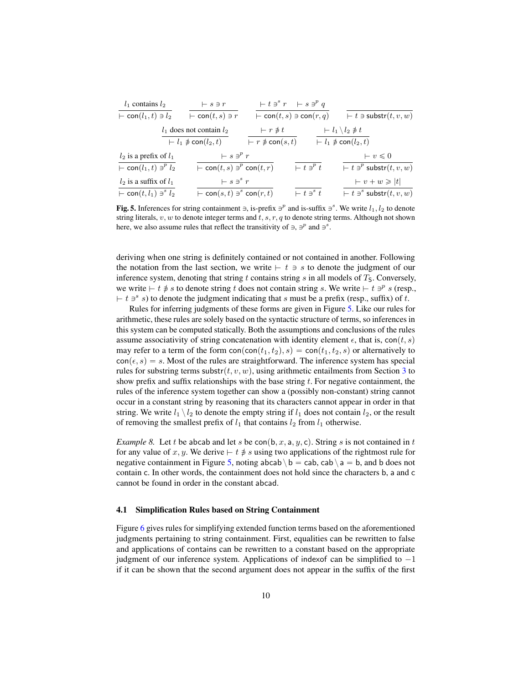| $l_1$ contains $l_2$                    | $\vdash s \ni r$                            |                                   | $\vdash t \ni^s r \vdash s \ni^p q$    |                                                |
|-----------------------------------------|---------------------------------------------|-----------------------------------|----------------------------------------|------------------------------------------------|
| $\vdash \textsf{con}(l_1,t) \ni l_2$    | $\vdash$ con $(t, s) \ni r$                 |                                   | $\vdash$ con $(t, s) \ni$ con $(r, q)$ | $\vdash t \ni \mathsf{subst}(t, v, w)$         |
|                                         | $l_1$ does not contain $l_2$                | $\vdash r \not\ni t$              |                                        | $l_1 \setminus l_2 \not\ni t$                  |
|                                         | $\vdash l_1 \not\equiv \mathsf{con}(l_2,t)$ | $\vdash r \neq \textsf{con}(s,t)$ |                                        | $\vdash l_1 \not\equiv \textsf{con}(l_2,t)$    |
| $l_2$ is a prefix of $l_1$              | $\vdash s \ni^p r$                          |                                   |                                        | $v \leq 0$                                     |
| $\vdash \textsf{con}(l_1,t) \ni^p l_2$  | $\vdash$ con $(t, s) \ni^p$ con $(t, r)$    |                                   | $\vdash t \ni^p t$                     | $\vdash t \exists^{p} \mathsf{subst}(t, v, w)$ |
| $l_2$ is a suffix of $l_1$              | $\vdash s \ni^s r$                          |                                   |                                        | $\vdash v + w \geqslant  t $                   |
| $\vdash \textsf{con}(t, l_1) \ni^s l_2$ | $\vdash$ con $(s,t) \ni^s$ con $(r,t)$      |                                   | $\vdash t \ni^s t$                     | $\vdash t \ni$ <sup>s</sup> substr $(t, v, w)$ |

<span id="page-9-0"></span>Fig. 5. Inferences for string containment  $\exists$ , is-prefix  $\exists^p$  and is-suffix  $\exists^s$ . We write  $l_1, l_2$  to denote string literals,  $v, w$  to denote integer terms and  $t, s, r, q$  to denote string terms. Although not shown here, we also assume rules that reflect the transitivity of  $\exists$ ,  $\exists^p$  and  $\exists^s$ .

deriving when one string is definitely contained or not contained in another. Following the notation from the last section, we write  $\vdash t \ni s$  to denote the judgment of our inference system, denoting that string t contains string s in all models of  $T<sub>S</sub>$ . Conversely, we write  $\vdash t \neq s$  to denote string t does not contain string s. We write  $\vdash t \ni^p s$  (resp.,  $t \in t$   $\exists$ <sup>s</sup> s) to denote the judgment indicating that s must be a prefix (resp., suffix) of t.

Rules for inferring judgments of these forms are given in Figure [5.](#page-9-0) Like our rules for arithmetic, these rules are solely based on the syntactic structure of terms, so inferences in this system can be computed statically. Both the assumptions and conclusions of the rules assume associativity of string concatenation with identity element  $\epsilon$ , that is, con $(t, s)$ may refer to a term of the form  $con(c_n(t_1, t_2), s) = con(t_1, t_2, s)$  or alternatively to  $con(\epsilon, s) = s$ . Most of the rules are straightforward. The inference system has special rules for substring terms substr $(t, v, w)$ , using arithmetic entailments from Section [3](#page-4-0) to show prefix and suffix relationships with the base string  $t$ . For negative containment, the rules of the inference system together can show a (possibly non-constant) string cannot occur in a constant string by reasoning that its characters cannot appear in order in that string. We write  $l_1 \setminus l_2$  to denote the empty string if  $l_1$  does not contain  $l_2$ , or the result of removing the smallest prefix of  $l_1$  that contains  $l_2$  from  $l_1$  otherwise.

*Example 8.* Let t be abcab and let s be con(b, x, a, y, c). String s is not contained in t for any value of x, y. We derive  $\vdash t \neq s$  using two applications of the rightmost rule for negative containment in Figure [5,](#page-9-0) noting  $ab \cosh b = cab$ ,  $cab \doteq b$ , and b does not contain c. In other words, the containment does not hold since the characters b, a and c cannot be found in order in the constant abcad.

#### 4.1 Simplification Rules based on String Containment

Figure [6](#page-10-0) gives rules for simplifying extended function terms based on the aforementioned judgments pertaining to string containment. First, equalities can be rewritten to false and applications of contains can be rewritten to a constant based on the appropriate judgment of our inference system. Applications of indexof can be simplified to  $-1$ if it can be shown that the second argument does not appear in the suffix of the first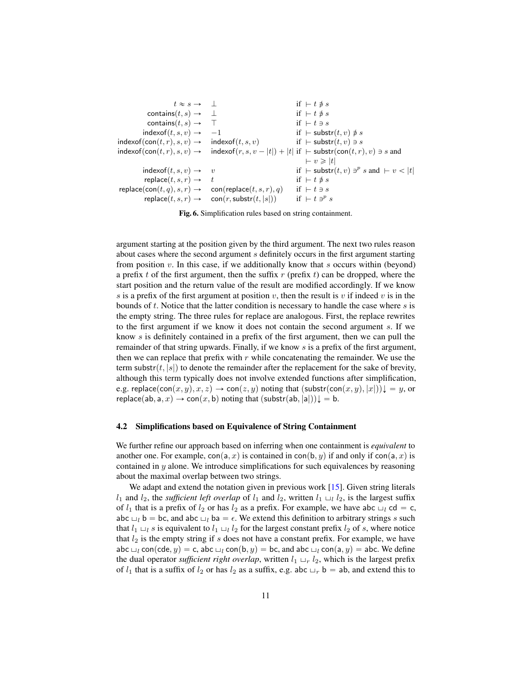| $t \approx s \rightarrow \perp$                         | if $\vdash t \not\ni s$                                                     |
|---------------------------------------------------------|-----------------------------------------------------------------------------|
| contains $(t,s) \rightarrow \perp$                      | if $\vdash t \not\ni s$                                                     |
|                                                         | if $\vdash t \ni s$                                                         |
| $-1$                                                    | if $\vdash$ substr $(t, v) \not\ni s$                                       |
| $indexof(con(t, r), s, v) \rightarrow indexof(t, s, v)$ | if $\vdash$ substr $(t, v) \ni s$                                           |
|                                                         | $indexof(r, s, v -  t ) +  t $ if $\vdash$ substr(con(t, r), v) $\ni s$ and |
|                                                         | $v \geqslant  t $                                                           |
| $indexof(t, s, v) \rightarrow v$                        | if $\vdash$ substr $(t, v) \ni^p s$ and $\vdash v \leq  t $                 |
| replace $(t, s, r) \rightarrow t$                       | if $\vdash t \not\ni s$                                                     |
| con(replace(t, s, r), q)                                | if $\vdash t \ni s$                                                         |
| $replace(t, s, r) \rightarrow con(r, substr(t,  s ))$   | if $\vdash t \ni^p s$                                                       |
|                                                         |                                                                             |

<span id="page-10-0"></span>Fig. 6. Simplification rules based on string containment.

argument starting at the position given by the third argument. The next two rules reason about cases where the second argument s definitely occurs in the first argument starting from position  $v$ . In this case, if we additionally know that s occurs within (beyond) a prefix  $t$  of the first argument, then the suffix  $r$  (prefix  $t$ ) can be dropped, where the start position and the return value of the result are modified accordingly. If we know s is a prefix of the first argument at position v, then the result is v if indeed v is in the bounds of t. Notice that the latter condition is necessary to handle the case where s is the empty string. The three rules for replace are analogous. First, the replace rewrites to the first argument if we know it does not contain the second argument s. If we know  $s$  is definitely contained in a prefix of the first argument, then we can pull the remainder of that string upwards. Finally, if we know s is a prefix of the first argument, then we can replace that prefix with  $r$  while concatenating the remainder. We use the term substr $(t, |s|)$  to denote the remainder after the replacement for the sake of brevity, although this term typically does not involve extended functions after simplification, e.g. replace(con $(x, y), x, z$ )  $\rightarrow$  con $(z, y)$  noting that (substr(con $(x, y), |x|$ )) $\downarrow$  = y, or replace(ab, a, x)  $\rightarrow$  con(x, b) noting that (substr(ab, |a|)) $\downarrow$  = b.

#### 4.2 Simplifications based on Equivalence of String Containment

We further refine our approach based on inferring when one containment is *equivalent* to another one. For example,  $con(a, x)$  is contained in  $con(b, y)$  if and only if  $con(a, x)$  is contained in  $y$  alone. We introduce simplifications for such equivalences by reasoning about the maximal overlap between two strings.

We adapt and extend the notation given in previous work [\[15\]](#page-17-8). Given string literals  $l_1$  and  $l_2$ , the *sufficient left overlap* of  $l_1$  and  $l_2$ , written  $l_1 \sqcup_l l_2$ , is the largest suffix of  $l_1$  that is a prefix of  $l_2$  or has  $l_2$  as a prefix. For example, we have abc  $\lnot_l$  cd = c, abc  $\ln b = bc$ , and abc  $\ln b = \epsilon$ . We extend this definition to arbitrary strings s such that  $l_1 \sqcup_l s$  is equivalent to  $l_1 \sqcup_l l_2$  for the largest constant prefix  $l_2$  of s, where notice that  $l_2$  is the empty string if s does not have a constant prefix. For example, we have abc  $\ln \ln \text{con}(\text{cde}, y) = \text{c}$ , abc  $\ln \text{con}(\text{b}, y) = \text{bc}$ , and abc  $\ln \text{con}(a, y) =$  abc. We define the dual operator *sufficient right overlap*, written  $l_1 \sqcup_r l_2$ , which is the largest prefix of  $l_1$  that is a suffix of  $l_2$  or has  $l_2$  as a suffix, e.g. abc  $\mathfrak{u}_r$  b = ab, and extend this to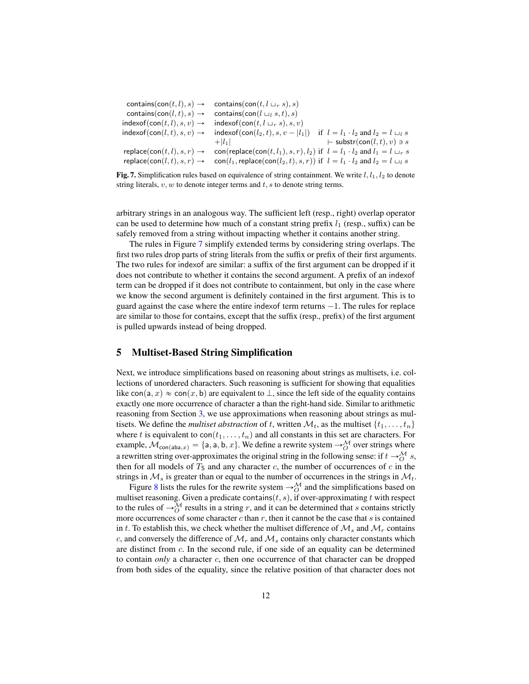| contains(con $(t, l), s$ ) $\rightarrow$      | contains $(\text{con}(t, l \sqcup_r s), s)$                                                                  |                                       |
|-----------------------------------------------|--------------------------------------------------------------------------------------------------------------|---------------------------------------|
| contains(con(l, t), s) $\rightarrow$          | contains(con( $l \sqcup_l s, t$ ), s)                                                                        |                                       |
| $indexof (con(t, l), s, v) \rightarrow$       | index of $(\text{con}(t, l \sqcup_r s), s, v)$                                                               |                                       |
| $indexof (con(l, t), s, v) \rightarrow$       | index of $(\text{con}(l_2, t), s, v -  l_1 )$ if $l = l_1 \cdot l_2$ and $l_2 = l \sqcup_l s$                |                                       |
|                                               | $+ l_1 $                                                                                                     | $\vdash$ substr(con(l, t), v) $\ni$ s |
| replace(con(t, l), s, r) $\rightarrow$        | con(replace(con(t, l <sub>1</sub> ), s, r), l <sub>2</sub> ) if $l = l_1 \cdot l_2$ and $l_1 = l \sqcup_r s$ |                                       |
| replace(con( $l, t$ ), $s, r$ ) $\rightarrow$ | con( $l_1$ , replace(con( $l_2$ , t), s, r)) if $l = l_1 \cdot l_2$ and $l_2 = l \sqcup_l s$                 |                                       |

<span id="page-11-1"></span>Fig. 7. Simplification rules based on equivalence of string containment. We write  $l, l_1, l_2$  to denote string literals,  $v, w$  to denote integer terms and  $t, s$  to denote string terms.

arbitrary strings in an analogous way. The sufficient left (resp., right) overlap operator can be used to determine how much of a constant string prefix  $l_1$  (resp., suffix) can be safely removed from a string without impacting whether it contains another string.

The rules in Figure [7](#page-11-1) simplify extended terms by considering string overlaps. The first two rules drop parts of string literals from the suffix or prefix of their first arguments. The two rules for indexof are similar: a suffix of the first argument can be dropped if it does not contribute to whether it contains the second argument. A prefix of an indexof term can be dropped if it does not contribute to containment, but only in the case where we know the second argument is definitely contained in the first argument. This is to guard against the case where the entire index form returns  $-1$ . The rules for replace are similar to those for contains, except that the suffix (resp., prefix) of the first argument is pulled upwards instead of being dropped.

### <span id="page-11-0"></span>5 Multiset-Based String Simplification

Next, we introduce simplifications based on reasoning about strings as multisets, i.e. collections of unordered characters. Such reasoning is sufficient for showing that equalities like con(a, x)  $\infty$  con(x, b) are equivalent to  $\perp$ , since the left side of the equality contains exactly one more occurrence of character a than the right-hand side. Similar to arithmetic reasoning from Section [3,](#page-4-0) we use approximations when reasoning about strings as multisets. We define the *multiset abstraction* of t, written  $\mathcal{M}_t$ , as the multiset  $\{t_1, \ldots, t_n\}$ where t is equivalent to  $con(t_1, \ldots, t_n)$  and all constants in this set are characters. For example,  $M_{con(\text{aba},x)} = \{\text{a}, \text{a}, \text{b}, x\}$ . We define a rewrite system  $\rightarrow_O^{\mathcal{M}}$  over strings where a rewritten string over-approximates the original string in the following sense: if  $t \rightarrow^{\mathcal{M}}_{O} s$ , then for all models of  $T<sub>S</sub>$  and any character c, the number of occurrences of c in the strings in  $\mathcal{M}_s$  is greater than or equal to the number of occurrences in the strings in  $\mathcal{M}_t$ .

Figure [8](#page-12-1) lists the rules for the rewrite system  $\rightarrow_O^{\mathcal{M}}$  and the simplifications based on multiset reasoning. Given a predicate contains( $t, s$ ), if over-approximating  $t$  with respect to the rules of  $\rightarrow_O^{\mathcal{M}}$  results in a string r, and it can be determined that s contains strictly more occurrences of some character  $c$  than  $r$ , then it cannot be the case that  $s$  is contained in t. To establish this, we check whether the multiset difference of  $\mathcal{M}_s$  and  $\mathcal{M}_r$  contains c, and conversely the difference of  $\mathcal{M}_r$  and  $\mathcal{M}_s$  contains only character constants which are distinct from c. In the second rule, if one side of an equality can be determined to contain *only* a character c, then one occurrence of that character can be dropped from both sides of the equality, since the relative position of that character does not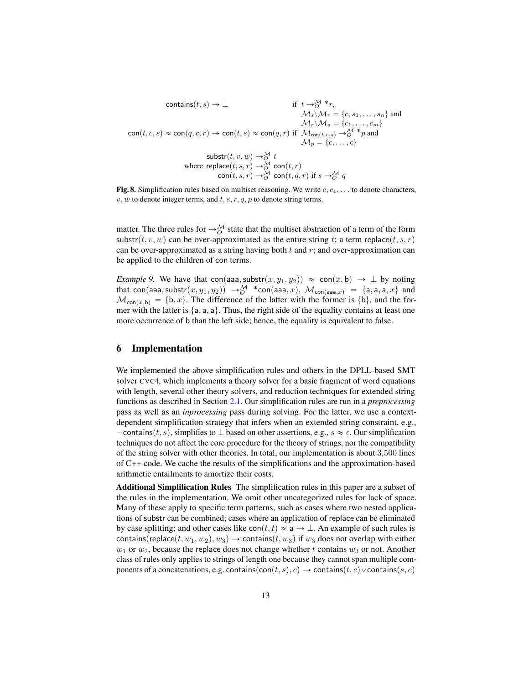$$
\begin{aligned}\n\text{contains}(t,s) &\to \bot & \text{if } t \to^{\mathcal{M}}_{O} {}^{*}r, \\
\mathcal{M}_{s} \setminus \mathcal{M}_{r} &= \{c, s_{1}, \ldots, s_{n}\} \text{ and } \\
\mathcal{M}_{r} \setminus \mathcal{M}_{s} &= \{c_{1}, \ldots, c_{m}\} \\
\text{con}(t,c,s) &\approx \text{con}(q,c,r) \to \text{con}(t,s) \approx \text{con}(q,r) \text{ if } \mathcal{M}_{\text{con}(t,c,s)} \to^{\mathcal{M}}_{O} {}^{*}p \text{ and } \\
\mathcal{M}_{p} &= \{c, \ldots, c\} \\
\text{subset}(t,v,w) &\to^{\mathcal{M}}_{O} t \\
\text{where } \text{replace}(t,s,r) &\to^{\mathcal{M}}_{O} \text{con}(t,r) \\
\text{con}(t,s,r) &\to^{\mathcal{M}}_{O} \text{con}(t,q,r) \text{ if } s \to^{\mathcal{M}}_{O} q\n\end{aligned}
$$

<span id="page-12-1"></span>Fig. 8. Simplification rules based on multiset reasoning. We write  $c, c_1, \ldots$  to denote characters,  $v, w$  to denote integer terms, and  $t, s, r, q, p$  to denote string terms.

matter. The three rules for  $\rightarrow_O^{\mathcal{M}}$  state that the multiset abstraction of a term of the form substr $(t, v, w)$  can be over-approximated as the entire string t; a term replace $(t, s, r)$ can be over-approximated as a string having both  $t$  and  $r$ ; and over-approximation can be applied to the children of con terms.

*Example 9.* We have that con(aaa, substr $(x, y_1, y_2)$ )  $\approx$  con $(x, b)$   $\rightarrow \perp$  by noting that con(aaa, substr $(x, y_1, y_2)$ )  $\rightarrow_O^{\mathcal{M}}$  \*con(aaa, x),  $\mathcal{M}_{con(aaa,x)}$  = {a, a, a, x} and  $\mathcal{M}_{con(x, b)} = \{b, x\}$ . The difference of the latter with the former is  $\{b\}$ , and the former with the latter is  $\{a, a, a\}$ . Thus, the right side of the equality contains at least one more occurrence of b than the left side; hence, the equality is equivalent to false.

### <span id="page-12-0"></span>6 Implementation

We implemented the above simplification rules and others in the DPLL-based SMT solver CVC4, which implements a theory solver for a basic fragment of word equations with length, several other theory solvers, and reduction techniques for extended string functions as described in Section [2.1.](#page-3-2) Our simplification rules are run in a *preprocessing* pass as well as an *inprocessing* pass during solving. For the latter, we use a contextdependent simplification strategy that infers when an extended string constraint, e.g.,  $\lnot$  contains(*t*, *s*), simplifies to  $\perp$  based on other assertions, e.g.,  $s \approx \epsilon$ . Our simplification techniques do not affect the core procedure for the theory of strings, nor the compatibility of the string solver with other theories. In total, our implementation is about 3,500 lines of C++ code. We cache the results of the simplifications and the approximation-based arithmetic entailments to amortize their costs.

Additional Simplification Rules The simplification rules in this paper are a subset of the rules in the implementation. We omit other uncategorized rules for lack of space. Many of these apply to specific term patterns, such as cases where two nested applications of substr can be combined; cases where an application of replace can be eliminated by case splitting; and other cases like  $con(t, t) \approx a \rightarrow \perp$ . An example of such rules is contains(replace $(t, w_1, w_2), w_3$ )  $\rightarrow$  contains( $t, w_3$ ) if  $w_3$  does not overlap with either  $w_1$  or  $w_2$ , because the replace does not change whether t contains  $w_3$  or not. Another class of rules only applies to strings of length one because they cannot span multiple components of a concatenations, e.g. contains(con(t, s), c)  $\rightarrow$  contains(t, c)  $\lor$  contains(s, c)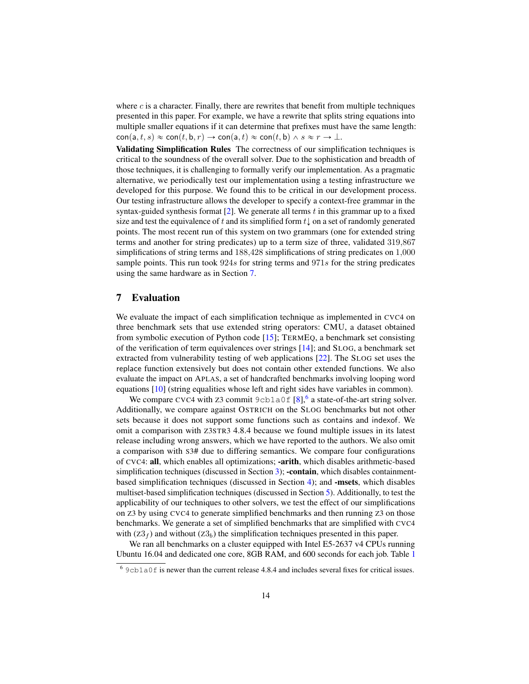where  $c$  is a character. Finally, there are rewrites that benefit from multiple techniques presented in this paper. For example, we have a rewrite that splits string equations into multiple smaller equations if it can determine that prefixes must have the same length:  $con(a, t, s) \approx con(t, b, r) \rightarrow con(a, t) \approx con(t, b) \land s \approx r \rightarrow \bot.$ 

Validating Simplification Rules The correctness of our simplification techniques is critical to the soundness of the overall solver. Due to the sophistication and breadth of those techniques, it is challenging to formally verify our implementation. As a pragmatic alternative, we periodically test our implementation using a testing infrastructure we developed for this purpose. We found this to be critical in our development process. Our testing infrastructure allows the developer to specify a context-free grammar in the syntax-guided synthesis format  $[2]$ . We generate all terms t in this grammar up to a fixed size and test the equivalence of t and its simplified form  $t\downarrow$  on a set of randomly generated points. The most recent run of this system on two grammars (one for extended string terms and another for string predicates) up to a term size of three, validated 319,867 simplifications of string terms and 188,428 simplifications of string predicates on 1,000 sample points. This run took 924s for string terms and 971s for the string predicates using the same hardware as in Section [7.](#page-13-0)

### <span id="page-13-0"></span>7 Evaluation

We evaluate the impact of each simplification technique as implemented in CVC4 on three benchmark sets that use extended string operators: CMU, a dataset obtained from symbolic execution of Python code [\[15\]](#page-17-8); TERMEQ, a benchmark set consisting of the verification of term equivalences over strings [\[14\]](#page-17-11); and SLOG, a benchmark set extracted from vulnerability testing of web applications [\[22\]](#page-17-12). The SLOG set uses the replace function extensively but does not contain other extended functions. We also evaluate the impact on APLAS, a set of handcrafted benchmarks involving looping word equations [\[10\]](#page-16-8) (string equalities whose left and right sides have variables in common).

We compare CVC4 with Z3 commit  $9$ cb1a0f  $[8]$ , a state-of-the-art string solver. Additionally, we compare against OSTRICH on the SLOG benchmarks but not other sets because it does not support some functions such as contains and indexof. We omit a comparison with Z3STR3 4.8.4 because we found multiple issues in its latest release including wrong answers, which we have reported to the authors. We also omit a comparison with S3# due to differing semantics. We compare four configurations of CVC4: all, which enables all optimizations; -arith, which disables arithmetic-based simplification techniques (discussed in Section [3\)](#page-4-0); **-contain**, which disables containmentbased simplification techniques (discussed in Section [4\)](#page-8-0); and -msets, which disables multiset-based simplification techniques (discussed in Section [5\)](#page-11-0). Additionally, to test the applicability of our techniques to other solvers, we test the effect of our simplifications on Z3 by using CVC4 to generate simplified benchmarks and then running Z3 on those benchmarks. We generate a set of simplified benchmarks that are simplified with CVC4 with  $(23<sub>f</sub>)$  and without  $(23<sub>b</sub>)$  the simplification techniques presented in this paper.

We ran all benchmarks on a cluster equipped with Intel E5-2637 v4 CPUs running Ubuntu 16.04 and dedicated one core, 8GB RAM, and 600 seconds for each job. Table [1](#page-14-0)

<span id="page-13-1"></span> $6 \text{ Seb1a0f}$  is newer than the current release 4.8.4 and includes several fixes for critical issues.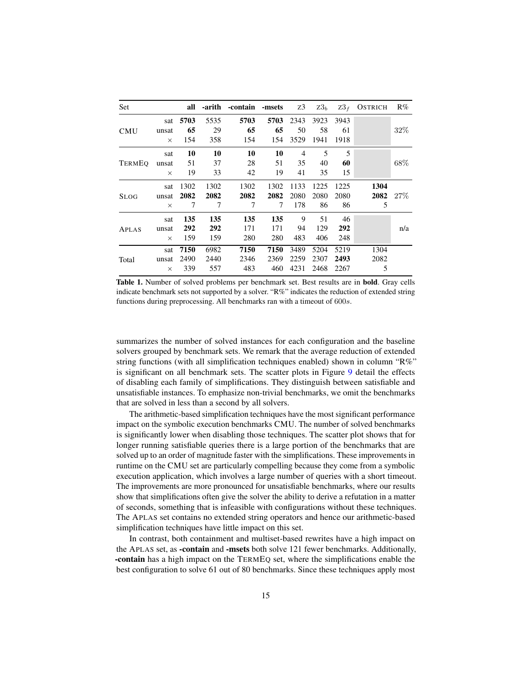| Set         |          | all  |      | -arith -contain -msets |      | Z <sub>3</sub> | $Z_{b}$ |      | $Z3_f$ OSTRICH | $R\%$ |
|-------------|----------|------|------|------------------------|------|----------------|---------|------|----------------|-------|
|             | sat      | 5703 | 5535 | 5703                   | 5703 | 2343           | 3923    | 3943 |                |       |
| CMU         | unsat    | 65   | - 29 | 65                     | 65   | 50             | 58      | 61   |                | 32\%  |
|             | $\times$ | 154  | 358  | 154                    | 154  | 3529           | 1941    | 1918 |                |       |
|             | sat      | 10   | 10   | 10                     | 10   | $\overline{4}$ | 5       | 5    |                |       |
| TERMEO      | unsat    | 51   | 37   | 28                     | 51   | 35             | 40      | 60   |                | 68\%  |
|             | $\times$ | 19   | 33   | 42                     | 19   | 41             | 35      | 15   |                |       |
| <b>SLOG</b> | sat      | 1302 | 1302 | 1302                   | 1302 | 1133           | 1225    | 1225 | 1304           |       |
|             | unsat    | 2082 | 2082 | 2082                   | 2082 | 2080           | 2080    | 2080 | 2082 27%       |       |
|             | $\times$ | 7    | 7    | 7                      | 7    | 178            | 86      | 86   | 5              |       |
| APLAS       | sat      | 135  | 135  | 135                    | 135  | 9              | 51      | 46   |                |       |
|             | unsat    | 292  | 292  | 171                    | 171  | 94             | 129     | 292  |                | n/a   |
|             | $\times$ | 159  | 159  | 280                    | 280  | 483            | 406     | 248  |                |       |
| Total       | sat      | 7150 | 6982 | 7150                   | 7150 | 3489           | 5204    | 5219 | 1304           |       |
|             | unsat    | 2490 | 2440 | 2346                   | 2369 | 2259           | 2307    | 2493 | 2082           |       |
|             | $\times$ | 339  | 557  | 483                    | 460  | 4231           | 2468    | 2267 | 5              |       |

<span id="page-14-0"></span>Table 1. Number of solved problems per benchmark set. Best results are in bold. Gray cells indicate benchmark sets not supported by a solver. " $R\%$ " indicates the reduction of extended string functions during preprocessing. All benchmarks ran with a timeout of 600s.

summarizes the number of solved instances for each configuration and the baseline solvers grouped by benchmark sets. We remark that the average reduction of extended string functions (with all simplification techniques enabled) shown in column " $R\%$ " is significant on all benchmark sets. The scatter plots in Figure [9](#page-15-0) detail the effects of disabling each family of simplifications. They distinguish between satisfiable and unsatisfiable instances. To emphasize non-trivial benchmarks, we omit the benchmarks that are solved in less than a second by all solvers.

The arithmetic-based simplification techniques have the most significant performance impact on the symbolic execution benchmarks CMU. The number of solved benchmarks is significantly lower when disabling those techniques. The scatter plot shows that for longer running satisfiable queries there is a large portion of the benchmarks that are solved up to an order of magnitude faster with the simplifications. These improvements in runtime on the CMU set are particularly compelling because they come from a symbolic execution application, which involves a large number of queries with a short timeout. The improvements are more pronounced for unsatisfiable benchmarks, where our results show that simplifications often give the solver the ability to derive a refutation in a matter of seconds, something that is infeasible with configurations without these techniques. The APLAS set contains no extended string operators and hence our arithmetic-based simplification techniques have little impact on this set.

In contrast, both containment and multiset-based rewrites have a high impact on the APLAS set, as -contain and -msets both solve 121 fewer benchmarks. Additionally, -contain has a high impact on the TERMEQ set, where the simplifications enable the best configuration to solve 61 out of 80 benchmarks. Since these techniques apply most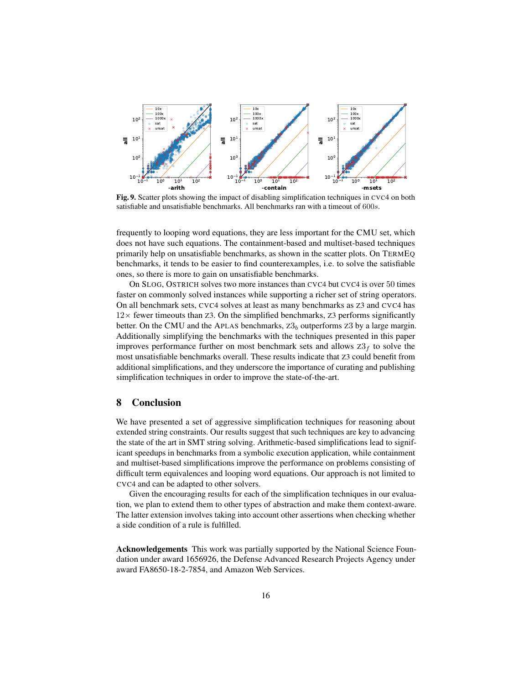

<span id="page-15-0"></span>Fig. 9. Scatter plots showing the impact of disabling simplification techniques in CVC4 on both satisfiable and unsatisfiable benchmarks. All benchmarks ran with a timeout of 600s.

frequently to looping word equations, they are less important for the CMU set, which does not have such equations. The containment-based and multiset-based techniques primarily help on unsatisfiable benchmarks, as shown in the scatter plots. On TERMEQ benchmarks, it tends to be easier to find counterexamples, i.e. to solve the satisfiable ones, so there is more to gain on unsatisfiable benchmarks.

On SLOG, OSTRICH solves two more instances than CVC4 but CVC4 is over 50 times faster on commonly solved instances while supporting a richer set of string operators. On all benchmark sets, CVC4 solves at least as many benchmarks as Z3 and CVC4 has  $12\times$  fewer timeouts than Z3. On the simplified benchmarks, Z3 performs significantly better. On the CMU and the APLAS benchmarks,  $Z_{b}$  outperforms  $Z_{b}$  by a large margin. Additionally simplifying the benchmarks with the techniques presented in this paper improves performance further on most benchmark sets and allows  $Z3<sub>f</sub>$  to solve the most unsatisfiable benchmarks overall. These results indicate that Z3 could benefit from additional simplifications, and they underscore the importance of curating and publishing simplification techniques in order to improve the state-of-the-art.

### 8 Conclusion

We have presented a set of aggressive simplification techniques for reasoning about extended string constraints. Our results suggest that such techniques are key to advancing the state of the art in SMT string solving. Arithmetic-based simplifications lead to significant speedups in benchmarks from a symbolic execution application, while containment and multiset-based simplifications improve the performance on problems consisting of difficult term equivalences and looping word equations. Our approach is not limited to CVC4 and can be adapted to other solvers.

Given the encouraging results for each of the simplification techniques in our evaluation, we plan to extend them to other types of abstraction and make them context-aware. The latter extension involves taking into account other assertions when checking whether a side condition of a rule is fulfilled.

Acknowledgements This work was partially supported by the National Science Foundation under award 1656926, the Defense Advanced Research Projects Agency under award FA8650-18-2-7854, and Amazon Web Services.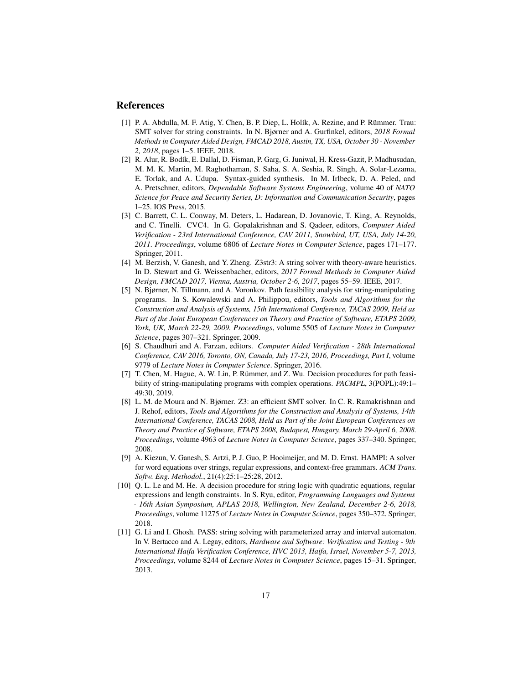# References

- <span id="page-16-5"></span>[1] P. A. Abdulla, M. F. Atig, Y. Chen, B. P. Diep, L. Holík, A. Rezine, and P. Rümmer. Trau: SMT solver for string constraints. In N. Bjørner and A. Gurfinkel, editors, *2018 Formal Methods in Computer Aided Design, FMCAD 2018, Austin, TX, USA, October 30 - November 2, 2018*, pages 1–5. IEEE, 2018.
- <span id="page-16-7"></span>[2] R. Alur, R. Bodík, E. Dallal, D. Fisman, P. Garg, G. Juniwal, H. Kress-Gazit, P. Madhusudan, M. M. K. Martin, M. Raghothaman, S. Saha, S. A. Seshia, R. Singh, A. Solar-Lezama, E. Torlak, and A. Udupa. Syntax-guided synthesis. In M. Irlbeck, D. A. Peled, and A. Pretschner, editors, *Dependable Software Systems Engineering*, volume 40 of *NATO Science for Peace and Security Series, D: Information and Communication Security*, pages 1–25. IOS Press, 2015.
- <span id="page-16-4"></span>[3] C. Barrett, C. L. Conway, M. Deters, L. Hadarean, D. Jovanovic, T. King, A. Reynolds, and C. Tinelli. CVC4. In G. Gopalakrishnan and S. Qadeer, editors, *Computer Aided Verification - 23rd International Conference, CAV 2011, Snowbird, UT, USA, July 14-20, 2011. Proceedings*, volume 6806 of *Lecture Notes in Computer Science*, pages 171–177. Springer, 2011.
- <span id="page-16-2"></span>[4] M. Berzish, V. Ganesh, and Y. Zheng. Z3str3: A string solver with theory-aware heuristics. In D. Stewart and G. Weissenbacher, editors, *2017 Formal Methods in Computer Aided Design, FMCAD 2017, Vienna, Austria, October 2-6, 2017*, pages 55–59. IEEE, 2017.
- <span id="page-16-0"></span>[5] N. Bjørner, N. Tillmann, and A. Voronkov. Path feasibility analysis for string-manipulating programs. In S. Kowalewski and A. Philippou, editors, *Tools and Algorithms for the Construction and Analysis of Systems, 15th International Conference, TACAS 2009, Held as Part of the Joint European Conferences on Theory and Practice of Software, ETAPS 2009, York, UK, March 22-29, 2009. Proceedings*, volume 5505 of *Lecture Notes in Computer Science*, pages 307–321. Springer, 2009.
- <span id="page-16-10"></span>[6] S. Chaudhuri and A. Farzan, editors. *Computer Aided Verification - 28th International Conference, CAV 2016, Toronto, ON, Canada, July 17-23, 2016, Proceedings, Part I*, volume 9779 of *Lecture Notes in Computer Science*. Springer, 2016.
- <span id="page-16-6"></span>[7] T. Chen, M. Hague, A. W. Lin, P. Rümmer, and Z. Wu. Decision procedures for path feasibility of string-manipulating programs with complex operations. *PACMPL*, 3(POPL):49:1– 49:30, 2019.
- <span id="page-16-9"></span>[8] L. M. de Moura and N. Bjørner. Z3: an efficient SMT solver. In C. R. Ramakrishnan and J. Rehof, editors, *Tools and Algorithms for the Construction and Analysis of Systems, 14th International Conference, TACAS 2008, Held as Part of the Joint European Conferences on Theory and Practice of Software, ETAPS 2008, Budapest, Hungary, March 29-April 6, 2008. Proceedings*, volume 4963 of *Lecture Notes in Computer Science*, pages 337–340. Springer, 2008.
- <span id="page-16-1"></span>[9] A. Kiezun, V. Ganesh, S. Artzi, P. J. Guo, P. Hooimeijer, and M. D. Ernst. HAMPI: A solver for word equations over strings, regular expressions, and context-free grammars. *ACM Trans. Softw. Eng. Methodol.*, 21(4):25:1–25:28, 2012.
- <span id="page-16-8"></span>[10] Q. L. Le and M. He. A decision procedure for string logic with quadratic equations, regular expressions and length constraints. In S. Ryu, editor, *Programming Languages and Systems - 16th Asian Symposium, APLAS 2018, Wellington, New Zealand, December 2-6, 2018, Proceedings*, volume 11275 of *Lecture Notes in Computer Science*, pages 350–372. Springer, 2018.
- <span id="page-16-3"></span>[11] G. Li and I. Ghosh. PASS: string solving with parameterized array and interval automaton. In V. Bertacco and A. Legay, editors, *Hardware and Software: Verification and Testing - 9th International Haifa Verification Conference, HVC 2013, Haifa, Israel, November 5-7, 2013, Proceedings*, volume 8244 of *Lecture Notes in Computer Science*, pages 15–31. Springer, 2013.